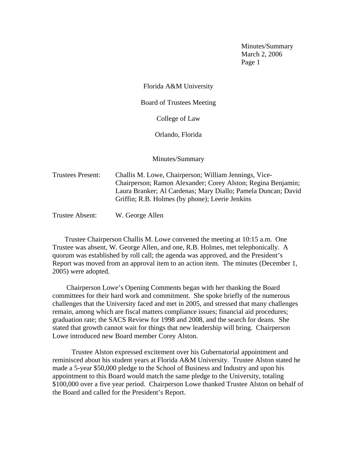Florida A&M University

Board of Trustees Meeting

College of Law

Orlando, Florida

Minutes/Summary

Trustees Present: Challis M. Lowe, Chairperson; William Jennings, Vice-Chairperson; Ramon Alexander; Corey Alston; Regina Benjamin; Laura Branker; Al Cardenas; Mary Diallo; Pamela Duncan; David Griffin; R.B. Holmes (by phone); Leerie Jenkins

Trustee Absent: W. George Allen

 Trustee Chairperson Challis M. Lowe convened the meeting at 10:15 a.m. One Trustee was absent, W. George Allen, and one, R.B. Holmes, met telephonically. A quorum was established by roll call; the agenda was approved, and the President's Report was moved from an approval item to an action item. The minutes (December 1, 2005) were adopted.

 Chairperson Lowe's Opening Comments began with her thanking the Board committees for their hard work and commitment. She spoke briefly of the numerous challenges that the University faced and met in 2005, and stressed that many challenges remain, among which are fiscal matters compliance issues; financial aid procedures; graduation rate; the SACS Review for 1998 and 2008, and the search for deans. She stated that growth cannot wait for things that new leadership will bring. Chairperson Lowe introduced new Board member Corey Alston.

 Trustee Alston expressed excitement over his Gubernatorial appointment and reminisced about his student years at Florida A&M University. Trustee Alston stated he made a 5-year \$50,000 pledge to the School of Business and Industry and upon his appointment to this Board would match the same pledge to the University, totaling \$100,000 over a five year period. Chairperson Lowe thanked Trustee Alston on behalf of the Board and called for the President's Report.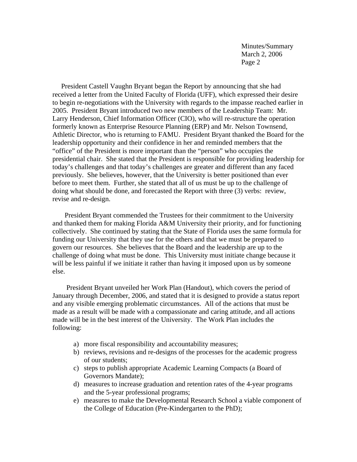President Castell Vaughn Bryant began the Report by announcing that she had received a letter from the United Faculty of Florida (UFF), which expressed their desire to begin re-negotiations with the University with regards to the impasse reached earlier in 2005. President Bryant introduced two new members of the Leadership Team: Mr. Larry Henderson, Chief Information Officer (CIO), who will re-structure the operation formerly known as Enterprise Resource Planning (ERP) and Mr. Nelson Townsend, Athletic Director, who is returning to FAMU. President Bryant thanked the Board for the leadership opportunity and their confidence in her and reminded members that the "office" of the President is more important than the "person" who occupies the presidential chair. She stated that the President is responsible for providing leadership for today's challenges and that today's challenges are greater and different than any faced previously. She believes, however, that the University is better positioned than ever before to meet them. Further, she stated that all of us must be up to the challenge of doing what should be done, and forecasted the Report with three (3) verbs: review, revise and re-design.

 President Bryant commended the Trustees for their commitment to the University and thanked them for making Florida A&M University their priority, and for functioning collectively. She continued by stating that the State of Florida uses the same formula for funding our University that they use for the others and that we must be prepared to govern our resources. She believes that the Board and the leadership are up to the challenge of doing what must be done. This University must initiate change because it will be less painful if we initiate it rather than having it imposed upon us by someone else.

 President Bryant unveiled her Work Plan (Handout), which covers the period of January through December, 2006, and stated that it is designed to provide a status report and any visible emerging problematic circumstances. All of the actions that must be made as a result will be made with a compassionate and caring attitude, and all actions made will be in the best interest of the University. The Work Plan includes the following:

- a) more fiscal responsibility and accountability measures;
- b) reviews, revisions and re-designs of the processes for the academic progress of our students;
- c) steps to publish appropriate Academic Learning Compacts (a Board of Governors Mandate);
- d) measures to increase graduation and retention rates of the 4-year programs and the 5-year professional programs;
- e) measures to make the Developmental Research School a viable component of the College of Education (Pre-Kindergarten to the PhD);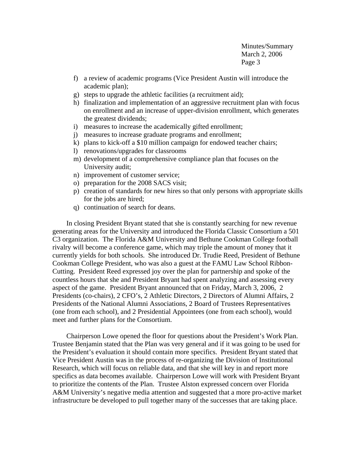- f) a review of academic programs (Vice President Austin will introduce the academic plan);
- g) steps to upgrade the athletic facilities (a recruitment aid);
- h) finalization and implementation of an aggressive recruitment plan with focus on enrollment and an increase of upper-division enrollment, which generates the greatest dividends;
- i) measures to increase the academically gifted enrollment;
- j) measures to increase graduate programs and enrollment;
- k) plans to kick-off a \$10 million campaign for endowed teacher chairs;
- l) renovations/upgrades for classrooms
- m) development of a comprehensive compliance plan that focuses on the University audit;
- n) improvement of customer service;
- o) preparation for the 2008 SACS visit;
- p) creation of standards for new hires so that only persons with appropriate skills for the jobs are hired;
- q) continuation of search for deans.

 In closing President Bryant stated that she is constantly searching for new revenue generating areas for the University and introduced the Florida Classic Consortium a 501 C3 organization. The Florida A&M University and Bethune Cookman College football rivalry will become a conference game, which may triple the amount of money that it currently yields for both schools. She introduced Dr. Trudie Reed, President of Bethune Cookman College President, who was also a guest at the FAMU Law School Ribbon-Cutting. President Reed expressed joy over the plan for partnership and spoke of the countless hours that she and President Bryant had spent analyzing and assessing every aspect of the game. President Bryant announced that on Friday, March 3, 2006, 2 Presidents (co-chairs), 2 CFO's, 2 Athletic Directors, 2 Directors of Alumni Affairs, 2 Presidents of the National Alumni Associations, 2 Board of Trustees Representatives (one from each school), and 2 Presidential Appointees (one from each school), would meet and further plans for the Consortium.

 Chairperson Lowe opened the floor for questions about the President's Work Plan. Trustee Benjamin stated that the Plan was very general and if it was going to be used for the President's evaluation it should contain more specifics. President Bryant stated that Vice President Austin was in the process of re-organizing the Division of Institutional Research, which will focus on reliable data, and that she will key in and report more specifics as data becomes available. Chairperson Lowe will work with President Bryant to prioritize the contents of the Plan. Trustee Alston expressed concern over Florida A&M University's negative media attention and suggested that a more pro-active market infrastructure be developed to pull together many of the successes that are taking place.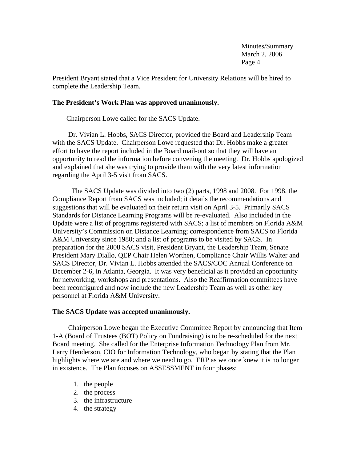President Bryant stated that a Vice President for University Relations will be hired to complete the Leadership Team.

# **The President's Work Plan was approved unanimously.**

Chairperson Lowe called for the SACS Update.

 Dr. Vivian L. Hobbs, SACS Director, provided the Board and Leadership Team with the SACS Update. Chairperson Lowe requested that Dr. Hobbs make a greater effort to have the report included in the Board mail-out so that they will have an opportunity to read the information before convening the meeting. Dr. Hobbs apologized and explained that she was trying to provide them with the very latest information regarding the April 3-5 visit from SACS.

 The SACS Update was divided into two (2) parts, 1998 and 2008. For 1998, the Compliance Report from SACS was included; it details the recommendations and suggestions that will be evaluated on their return visit on April 3-5. Primarily SACS Standards for Distance Learning Programs will be re-evaluated. Also included in the Update were a list of programs registered with SACS; a list of members on Florida A&M University's Commission on Distance Learning; correspondence from SACS to Florida A&M University since 1980; and a list of programs to be visited by SACS. In preparation for the 2008 SACS visit, President Bryant, the Leadership Team, Senate President Mary Diallo, QEP Chair Helen Worthen, Compliance Chair Willis Walter and SACS Director, Dr. Vivian L. Hobbs attended the SACS/COC Annual Conference on December 2-6, in Atlanta, Georgia. It was very beneficial as it provided an opportunity for networking, workshops and presentations. Also the Reaffirmation committees have been reconfigured and now include the new Leadership Team as well as other key personnel at Florida A&M University.

## **The SACS Update was accepted unanimously.**

 Chairperson Lowe began the Executive Committee Report by announcing that Item 1-A (Board of Trustees (BOT) Policy on Fundraising) is to be re-scheduled for the next Board meeting. She called for the Enterprise Information Technology Plan from Mr. Larry Henderson, CIO for Information Technology, who began by stating that the Plan highlights where we are and where we need to go. ERP as we once knew it is no longer in existence. The Plan focuses on ASSESSMENT in four phases:

- 1. the people
- 2. the process
- 3. the infrastructure
- 4. the strategy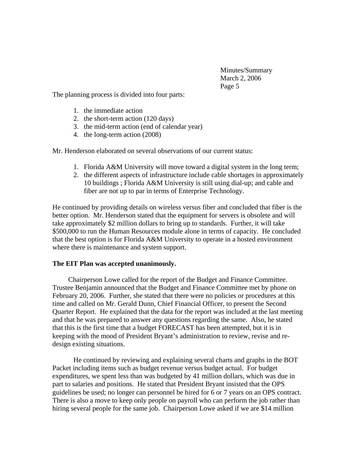The planning process is divided into four parts:

- 1. the immediate action
- 2. the short-term action (120 days)
- 3. the mid-term action (end of calendar year)
- 4. the long-term action (2008)

Mr. Henderson elaborated on several observations of our current status:

- 1. Florida A&M University will move toward a digital system in the long term;
- 2. the different aspects of infrastructure include cable shortages in approximately 10 buildings ; Florida A&M University is still using dial-up; and cable and fiber are not up to par in terms of Enterprise Technology.

He continued by providing details on wireless versus fiber and concluded that fiber is the better option. Mr. Henderson stated that the equipment for servers is obsolete and will take approximately \$2 million dollars to bring up to standards. Further, it will take \$500,000 to run the Human Resources module alone in terms of capacity. He concluded that the best option is for Florida A&M University to operate in a hosted environment where there is maintenance and system support.

# **The EIT Plan was accepted unanimously.**

 Chairperson Lowe called for the report of the Budget and Finance Committee. Trustee Benjamin announced that the Budget and Finance Committee met by phone on February 20, 2006. Further, she stated that there were no policies or procedures at this time and called on Mr. Gerald Dunn, Chief Financial Officer, to present the Second Quarter Report. He explained that the data for the report was included at the last meeting and that he was prepared to answer any questions regarding the same. Also, he stated that this is the first time that a budget FORECAST has been attempted, but it is in keeping with the mood of President Bryant's administration to review, revise and redesign existing situations.

He continued by reviewing and explaining several charts and graphs in the BOT Packet including items such as budget revenue versus budget actual. For budget expenditures, we spent less than was budgeted by 41 million dollars, which was due in part to salaries and positions. He stated that President Bryant insisted that the OPS guidelines be used; no longer can personnel be hired for 6 or 7 years on an OPS contract. There is also a move to keep only people on payroll who can perform the job rather than hiring several people for the same job. Chairperson Lowe asked if we are \$14 million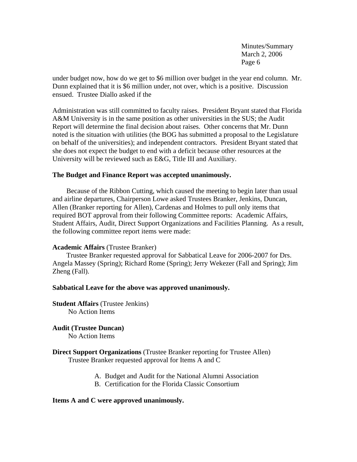under budget now, how do we get to \$6 million over budget in the year end column. Mr. Dunn explained that it is \$6 million under, not over, which is a positive. Discussion ensued. Trustee Diallo asked if the

Administration was still committed to faculty raises. President Bryant stated that Florida A&M University is in the same position as other universities in the SUS; the Audit Report will determine the final decision about raises. Other concerns that Mr. Dunn noted is the situation with utilities (the BOG has submitted a proposal to the Legislature on behalf of the universities); and independent contractors. President Bryant stated that she does not expect the budget to end with a deficit because other resources at the University will be reviewed such as E&G, Title III and Auxiliary.

# **The Budget and Finance Report was accepted unanimously.**

Because of the Ribbon Cutting, which caused the meeting to begin later than usual and airline departures, Chairperson Lowe asked Trustees Branker, Jenkins, Duncan, Allen (Branker reporting for Allen), Cardenas and Holmes to pull only items that required BOT approval from their following Committee reports: Academic Affairs, Student Affairs, Audit, Direct Support Organizations and Facilities Planning. As a result, the following committee report items were made:

## **Academic Affairs** (Trustee Branker)

 Trustee Branker requested approval for Sabbatical Leave for 2006-2007 for Drs. Angela Massey (Spring); Richard Rome (Spring); Jerry Wekezer (Fall and Spring); Jim Zheng (Fall).

#### **Sabbatical Leave for the above was approved unanimously.**

**Student Affairs** (Trustee Jenkins) No Action Items

**Audit (Trustee Duncan)**  No Action Items

# **Direct Support Organizations** (Trustee Branker reporting for Trustee Allen) Trustee Branker requested approval for Items A and C

- A. Budget and Audit for the National Alumni Association
- B. Certification for the Florida Classic Consortium

#### **Items A and C were approved unanimously.**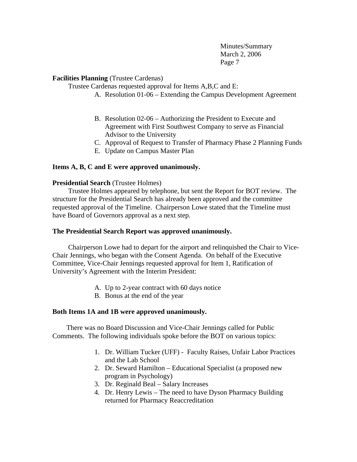## **Facilities Planning** (Trustee Cardenas)

Trustee Cardenas requested approval for Items A,B,C and E:

- A. Resolution 01-06 Extending the Campus Development Agreement
- B. Resolution 02-06 Authorizing the President to Execute and Agreement with First Southwest Company to serve as Financial Advisor to the University
- C. Approval of Request to Transfer of Pharmacy Phase 2 Planning Funds
- E. Update on Campus Master Plan

# **Items A, B, C and E were approved unanimously.**

## **Presidential Search** (Trustee Holmes)

 Trustee Holmes appeared by telephone, but sent the Report for BOT review. The structure for the Presidential Search has already been approved and the committee requested approval of the Timeline. Chairperson Lowe stated that the Timeline must have Board of Governors approval as a next step.

## **The Presidential Search Report was approved unanimously.**

 Chairperson Lowe had to depart for the airport and relinquished the Chair to Vice-Chair Jennings, who began with the Consent Agenda. On behalf of the Executive Committee, Vice-Chair Jennings requested approval for Item 1, Ratification of University's Agreement with the Interim President:

- A. Up to 2-year contract with 60 days notice
- B. Bonus at the end of the year

## **Both Items 1A and 1B were approved unanimously.**

 There was no Board Discussion and Vice-Chair Jennings called for Public Comments. The following individuals spoke before the BOT on various topics:

- 1. Dr. William Tucker (UFF) Faculty Raises, Unfair Labor Practices and the Lab School
- 2. Dr. Seward Hamilton Educational Specialist (a proposed new program in Psychology)
- 3. Dr. Reginald Beal Salary Increases
- 4. Dr. Henry Lewis The need to have Dyson Pharmacy Building returned for Pharmacy Reaccreditation